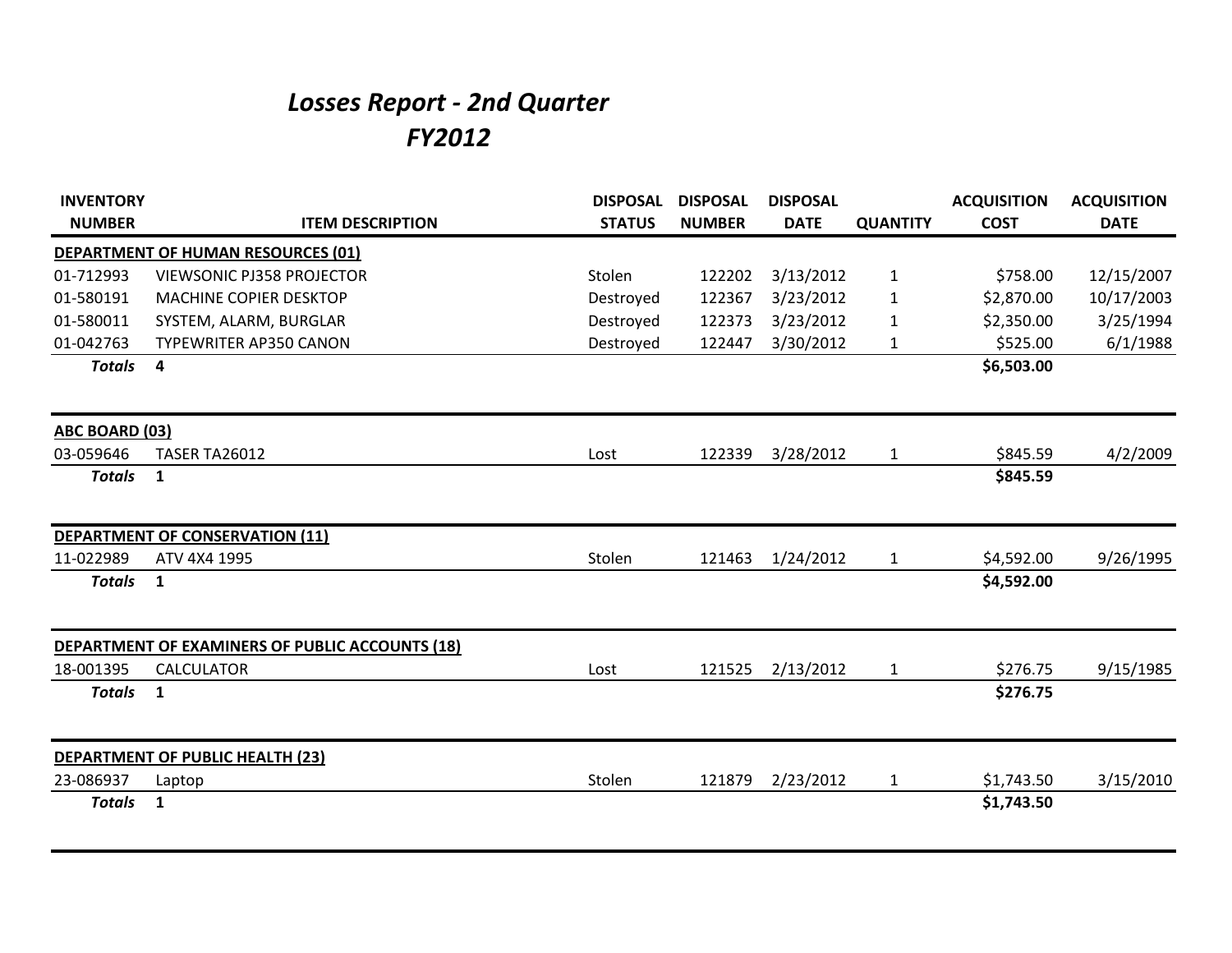## *Losses Report - 2nd Quarter FY2012*

| <b>INVENTORY</b>      |                                                        | <b>DISPOSAL</b> | <b>DISPOSAL</b> | <b>DISPOSAL</b> |                 | <b>ACQUISITION</b> | <b>ACQUISITION</b> |
|-----------------------|--------------------------------------------------------|-----------------|-----------------|-----------------|-----------------|--------------------|--------------------|
| <b>NUMBER</b>         | <b>ITEM DESCRIPTION</b>                                | <b>STATUS</b>   | <b>NUMBER</b>   | <b>DATE</b>     | <b>QUANTITY</b> | <b>COST</b>        | <b>DATE</b>        |
|                       | <b>DEPARTMENT OF HUMAN RESOURCES (01)</b>              |                 |                 |                 |                 |                    |                    |
| 01-712993             | <b>VIEWSONIC PJ358 PROJECTOR</b>                       | Stolen          | 122202          | 3/13/2012       | 1               | \$758.00           | 12/15/2007         |
| 01-580191             | MACHINE COPIER DESKTOP                                 | Destroyed       | 122367          | 3/23/2012       | $\mathbf{1}$    | \$2,870.00         | 10/17/2003         |
| 01-580011             | SYSTEM, ALARM, BURGLAR                                 | Destroyed       | 122373          | 3/23/2012       | 1               | \$2,350.00         | 3/25/1994          |
| 01-042763             | <b>TYPEWRITER AP350 CANON</b>                          | Destroyed       | 122447          | 3/30/2012       | $\mathbf{1}$    | \$525.00           | 6/1/1988           |
| <b>Totals</b>         | 4                                                      |                 |                 |                 |                 | \$6,503.00         |                    |
| <b>ABC BOARD (03)</b> |                                                        |                 |                 |                 |                 |                    |                    |
| 03-059646             | <b>TASER TA26012</b>                                   | Lost            | 122339          | 3/28/2012       | $\mathbf{1}$    | \$845.59           | 4/2/2009           |
| <b>Totals</b>         | $\mathbf{1}$                                           |                 |                 |                 |                 | \$845.59           |                    |
|                       | <b>DEPARTMENT OF CONSERVATION (11)</b>                 |                 |                 |                 |                 |                    |                    |
| 11-022989             | ATV 4X4 1995                                           | Stolen          | 121463          | 1/24/2012       | $\mathbf{1}$    | \$4,592.00         | 9/26/1995          |
| <b>Totals</b>         | $\mathbf{1}$                                           |                 |                 |                 |                 | \$4,592.00         |                    |
|                       | <b>DEPARTMENT OF EXAMINERS OF PUBLIC ACCOUNTS (18)</b> |                 |                 |                 |                 |                    |                    |
| 18-001395             | <b>CALCULATOR</b>                                      | Lost            | 121525          | 2/13/2012       | $\mathbf{1}$    | \$276.75           | 9/15/1985          |
| <b>Totals</b>         | $\mathbf{1}$                                           |                 |                 |                 |                 | \$276.75           |                    |
|                       | DEPARTMENT OF PUBLIC HEALTH (23)                       |                 |                 |                 |                 |                    |                    |
| 23-086937             | Laptop                                                 | Stolen          | 121879          | 2/23/2012       | $\mathbf{1}$    | \$1,743.50         | 3/15/2010          |
| <b>Totals</b>         | $\mathbf{1}$                                           |                 |                 |                 |                 | \$1,743.50         |                    |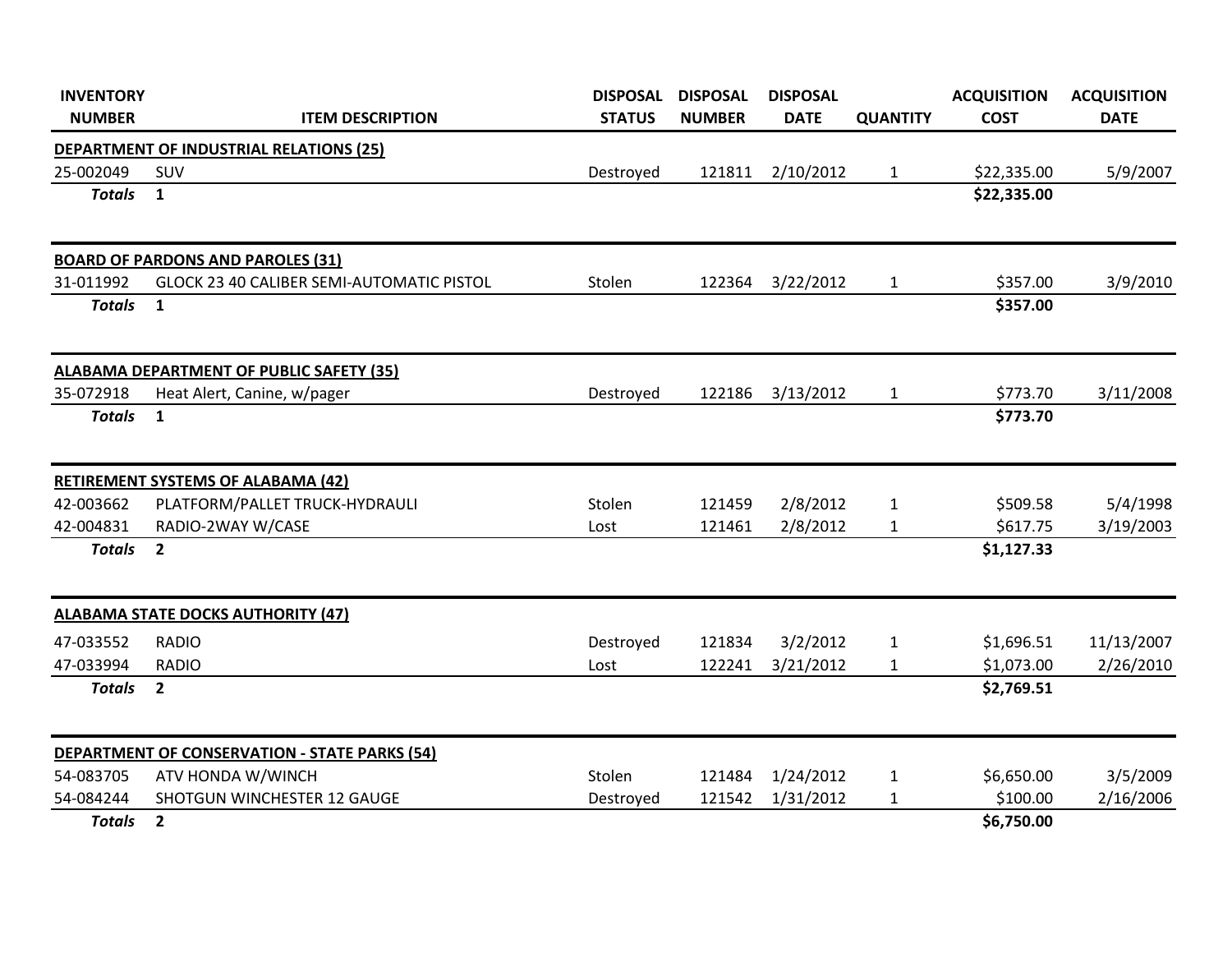| <b>INVENTORY</b> |                                                      | <b>DISPOSAL</b> | <b>DISPOSAL</b> | <b>DISPOSAL</b> |                 | <b>ACQUISITION</b> | <b>ACQUISITION</b> |
|------------------|------------------------------------------------------|-----------------|-----------------|-----------------|-----------------|--------------------|--------------------|
| <b>NUMBER</b>    | <b>ITEM DESCRIPTION</b>                              | <b>STATUS</b>   | <b>NUMBER</b>   | <b>DATE</b>     | <b>QUANTITY</b> | <b>COST</b>        | <b>DATE</b>        |
|                  | DEPARTMENT OF INDUSTRIAL RELATIONS (25)              |                 |                 |                 |                 |                    |                    |
| 25-002049        | SUV                                                  | Destroyed       | 121811          | 2/10/2012       | $\mathbf{1}$    | \$22,335.00        | 5/9/2007           |
| <b>Totals</b>    | $\mathbf{1}$                                         |                 |                 |                 |                 | \$22,335.00        |                    |
|                  | <b>BOARD OF PARDONS AND PAROLES (31)</b>             |                 |                 |                 |                 |                    |                    |
| 31-011992        | GLOCK 23 40 CALIBER SEMI-AUTOMATIC PISTOL            | Stolen          | 122364          | 3/22/2012       | $\mathbf{1}$    | \$357.00           | 3/9/2010           |
| <b>Totals</b>    | $\mathbf{1}$                                         |                 |                 |                 |                 | \$357.00           |                    |
|                  | <b>ALABAMA DEPARTMENT OF PUBLIC SAFETY (35)</b>      |                 |                 |                 |                 |                    |                    |
| 35-072918        | Heat Alert, Canine, w/pager                          | Destroyed       | 122186          | 3/13/2012       | $\mathbf{1}$    | \$773.70           | 3/11/2008          |
| <b>Totals</b>    | $\mathbf{1}$                                         |                 |                 |                 |                 | \$773.70           |                    |
|                  | <b>RETIREMENT SYSTEMS OF ALABAMA (42)</b>            |                 |                 |                 |                 |                    |                    |
| 42-003662        | PLATFORM/PALLET TRUCK-HYDRAULI                       | Stolen          | 121459          | 2/8/2012        | $\mathbf{1}$    | \$509.58           | 5/4/1998           |
| 42-004831        | RADIO-2WAY W/CASE                                    | Lost            | 121461          | 2/8/2012        | $\mathbf{1}$    | \$617.75           | 3/19/2003          |
| <b>Totals</b>    | $\overline{2}$                                       |                 |                 |                 |                 | \$1,127.33         |                    |
|                  | <b>ALABAMA STATE DOCKS AUTHORITY (47)</b>            |                 |                 |                 |                 |                    |                    |
| 47-033552        | <b>RADIO</b>                                         | Destroyed       | 121834          | 3/2/2012        | 1               | \$1,696.51         | 11/13/2007         |
| 47-033994        | <b>RADIO</b>                                         | Lost            | 122241          | 3/21/2012       | $\mathbf{1}$    | \$1,073.00         | 2/26/2010          |
| <b>Totals</b>    | $\overline{2}$                                       |                 |                 |                 |                 | \$2,769.51         |                    |
|                  | <b>DEPARTMENT OF CONSERVATION - STATE PARKS (54)</b> |                 |                 |                 |                 |                    |                    |
| 54-083705        | ATV HONDA W/WINCH                                    | Stolen          | 121484          | 1/24/2012       | $\mathbf{1}$    | \$6,650.00         | 3/5/2009           |
| 54-084244        | SHOTGUN WINCHESTER 12 GAUGE                          | Destroyed       | 121542          | 1/31/2012       | $\mathbf{1}$    | \$100.00           | 2/16/2006          |
| <b>Totals</b>    | $\overline{2}$                                       |                 |                 |                 |                 | \$6,750.00         |                    |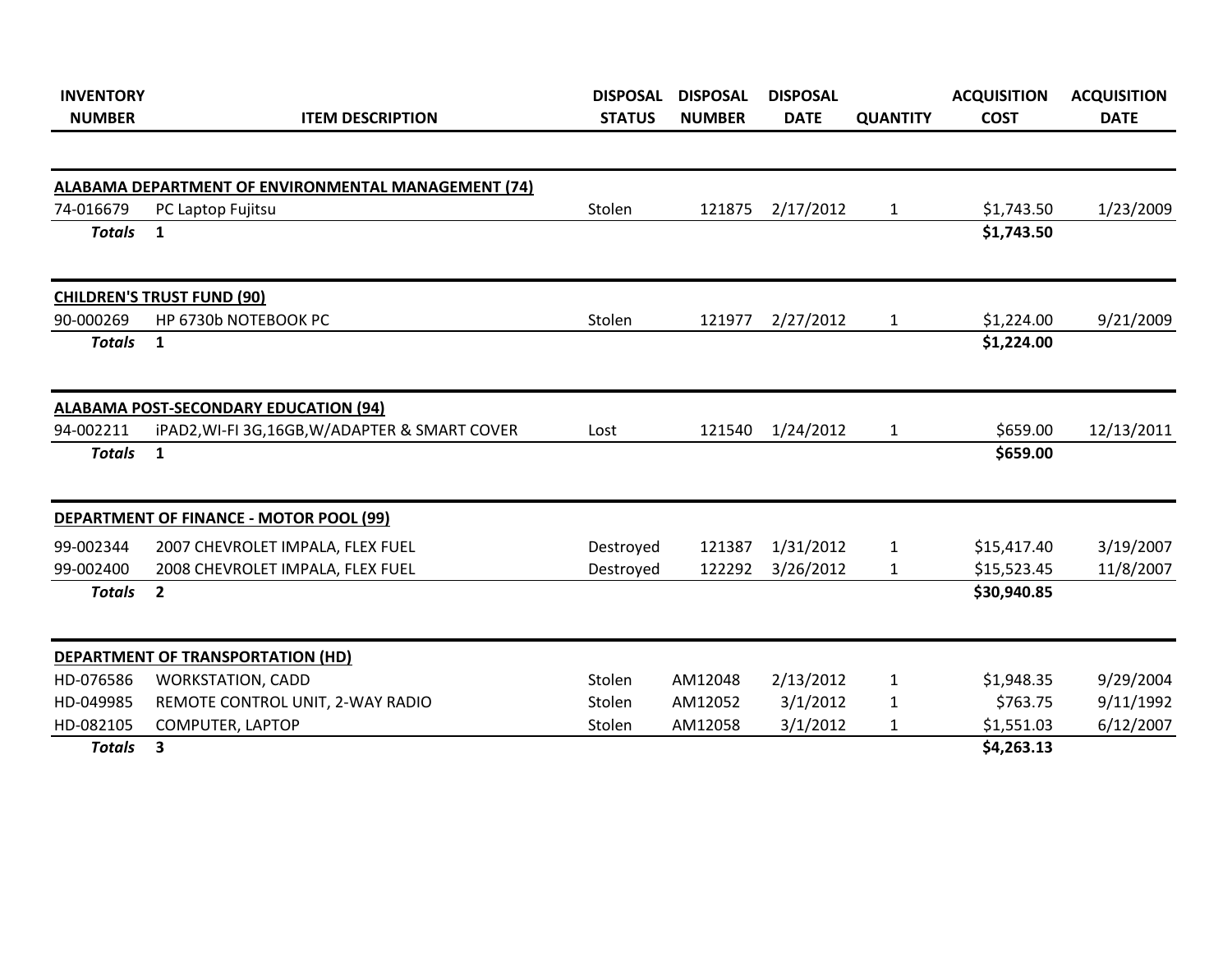| <b>INVENTORY</b><br><b>NUMBER</b> | <b>ITEM DESCRIPTION</b>                                    | <b>DISPOSAL</b><br><b>STATUS</b> | <b>DISPOSAL</b><br><b>NUMBER</b> | <b>DISPOSAL</b><br><b>DATE</b> | <b>QUANTITY</b> | <b>ACQUISITION</b><br><b>COST</b> | <b>ACQUISITION</b><br><b>DATE</b> |
|-----------------------------------|------------------------------------------------------------|----------------------------------|----------------------------------|--------------------------------|-----------------|-----------------------------------|-----------------------------------|
|                                   |                                                            |                                  |                                  |                                |                 |                                   |                                   |
|                                   | <b>ALABAMA DEPARTMENT OF ENVIRONMENTAL MANAGEMENT (74)</b> |                                  |                                  |                                |                 |                                   |                                   |
| 74-016679                         | PC Laptop Fujitsu                                          | Stolen                           | 121875                           | 2/17/2012                      | $\mathbf{1}$    | \$1,743.50                        | 1/23/2009                         |
| <b>Totals</b>                     | $\mathbf{1}$                                               |                                  |                                  |                                |                 | \$1,743.50                        |                                   |
|                                   | <b>CHILDREN'S TRUST FUND (90)</b>                          |                                  |                                  |                                |                 |                                   |                                   |
| 90-000269                         | HP 6730b NOTEBOOK PC                                       | Stolen                           | 121977                           | 2/27/2012                      | $\mathbf{1}$    | \$1,224.00                        | 9/21/2009                         |
| <b>Totals</b>                     | $\mathbf{1}$                                               |                                  |                                  |                                |                 | \$1,224.00                        |                                   |
|                                   | <b>ALABAMA POST-SECONDARY EDUCATION (94)</b>               |                                  |                                  |                                |                 |                                   |                                   |
| 94-002211                         | iPAD2, WI-FI 3G, 16GB, W/ADAPTER & SMART COVER             | Lost                             | 121540                           | 1/24/2012                      | $\mathbf{1}$    | \$659.00                          | 12/13/2011                        |
| <b>Totals</b>                     | $\mathbf{1}$                                               |                                  |                                  |                                |                 | \$659.00                          |                                   |
|                                   | <b>DEPARTMENT OF FINANCE - MOTOR POOL (99)</b>             |                                  |                                  |                                |                 |                                   |                                   |
| 99-002344                         | 2007 CHEVROLET IMPALA, FLEX FUEL                           | Destroyed                        | 121387                           | 1/31/2012                      | $\mathbf{1}$    | \$15,417.40                       | 3/19/2007                         |
| 99-002400                         | 2008 CHEVROLET IMPALA, FLEX FUEL                           | Destroyed                        | 122292                           | 3/26/2012                      | $\mathbf{1}$    | \$15,523.45                       | 11/8/2007                         |
| <b>Totals</b>                     | $\overline{2}$                                             |                                  |                                  |                                |                 | \$30,940.85                       |                                   |
|                                   | DEPARTMENT OF TRANSPORTATION (HD)                          |                                  |                                  |                                |                 |                                   |                                   |
| HD-076586                         | <b>WORKSTATION, CADD</b>                                   | Stolen                           | AM12048                          | 2/13/2012                      | $\mathbf{1}$    | \$1,948.35                        | 9/29/2004                         |
| HD-049985                         | REMOTE CONTROL UNIT, 2-WAY RADIO                           | Stolen                           | AM12052                          | 3/1/2012                       | $\mathbf{1}$    | \$763.75                          | 9/11/1992                         |
| HD-082105                         | COMPUTER, LAPTOP                                           | Stolen                           | AM12058                          | 3/1/2012                       | $\mathbf{1}$    | \$1,551.03                        | 6/12/2007                         |
| <b>Totals</b>                     | 3                                                          |                                  |                                  |                                |                 | \$4,263.13                        |                                   |